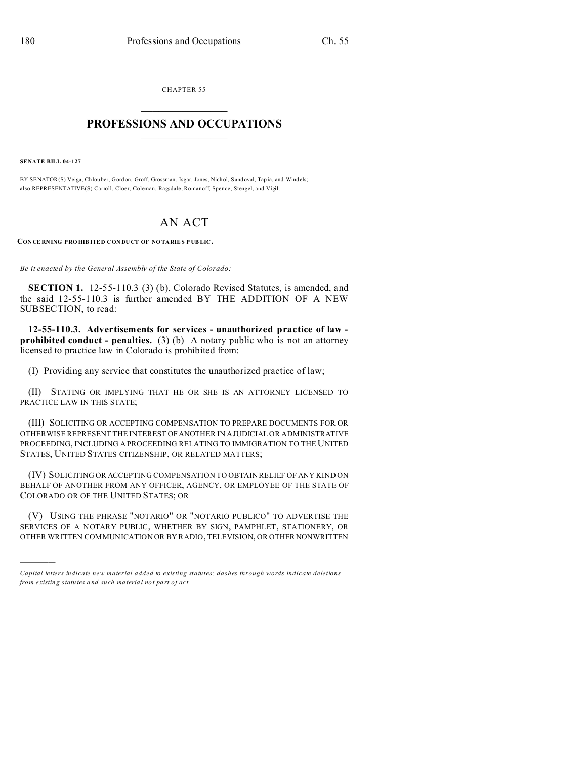CHAPTER 55  $\overline{\phantom{a}}$  , where  $\overline{\phantom{a}}$ 

## **PROFESSIONS AND OCCUPATIONS**  $\frac{1}{2}$  ,  $\frac{1}{2}$  ,  $\frac{1}{2}$  ,  $\frac{1}{2}$  ,  $\frac{1}{2}$  ,  $\frac{1}{2}$  ,  $\frac{1}{2}$

**SENATE BILL 04-127**

)))))

BY SENATOR(S) Veiga, Chlouber, Gordon, Groff, Grossman, Isgar, Jones, Nichol, Sandoval, Tapia, and Windels; also REPRESENTATIVE(S) Carroll, Cloer, Coleman, Ragsdale, Romanoff, Spence, Stengel, and Vigil.

## AN ACT

**CON CE RNING PRO HIB ITED CON DUCT OF NO TARIES P UB LIC.**

*Be it enacted by the General Assembly of the State of Colorado:*

**SECTION 1.** 12-55-110.3 (3) (b), Colorado Revised Statutes, is amended, and the said 12-55-110.3 is further amended BY THE ADDITION OF A NEW SUBSECTION, to read:

**12-55-110.3. Advertisements for services - unauthorized practice of law prohibited conduct - penalties.** (3) (b) A notary public who is not an attorney licensed to practice law in Colorado is prohibited from:

(I) Providing any service that constitutes the unauthorized practice of law;

(II) STATING OR IMPLYING THAT HE OR SHE IS AN ATTORNEY LICENSED TO PRACTICE LAW IN THIS STATE;

(III) SOLICITING OR ACCEPTING COMPENSATION TO PREPARE DOCUMENTS FOR OR OTHERWISE REPRESENT THE INTEREST OFANOTHER IN A JUDICIAL OR ADMINISTRATIVE PROCEEDING, INCLUDING A PROCEEDING RELATING TO IMMIGRATION TO THE UNITED STATES, UNITED STATES CITIZENSHIP, OR RELATED MATTERS;

(IV) SOLICITING OR ACCEPTING COMPENSATION TO OBTAIN RELIEF OF ANY KIND ON BEHALF OF ANOTHER FROM ANY OFFICER, AGENCY, OR EMPLOYEE OF THE STATE OF COLORADO OR OF THE UNITED STATES; OR

(V) USING THE PHRASE "NOTARIO" OR "NOTARIO PUBLICO" TO ADVERTISE THE SERVICES OF A NOTARY PUBLIC, WHETHER BY SIGN, PAMPHLET, STATIONERY, OR OTHER WRITTEN COMMUNICATION OR BY RADIO, TELEVISION, OR OTHER NONWRITTEN

*Capital letters indicate new material added to existing statutes; dashes through words indicate deletions from e xistin g statu tes a nd such ma teria l no t pa rt of ac t.*